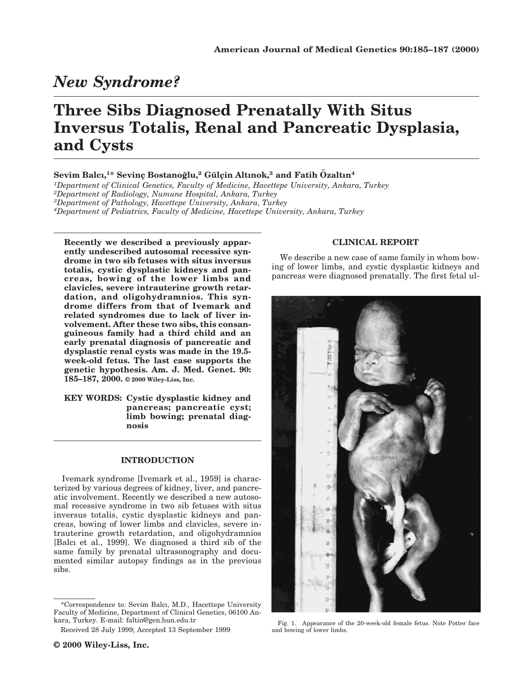# *New Syndrome?*

# **Three Sibs Diagnosed Prenatally With Situs Inversus Totalis, Renal and Pancreatic Dysplasia, and Cysts**

## **Sevim Balcı,1\* Sevinc¸ Bostanog˘lu,2 Gu¨ lc¸in Altınok,<sup>3</sup> and Fatih O¨ zaltın<sup>4</sup>**

*1Department of Clinical Genetics, Faculty of Medicine, Hacettepe University, Ankara, Turkey*

*2Department of Radiology, Numune Hospital, Ankara, Turkey*

*3Department of Pathology, Hacettepe University, Ankara, Turkey*

*4Department of Pediatrics, Faculty of Medicine, Hacettepe University, Ankara, Turkey*

**Recently we described a previously apparently undescribed autosomal recessive syndrome in two sib fetuses with situs inversus totalis, cystic dysplastic kidneys and pancreas, bowing of the lower limbs and clavicles, severe intrauterine growth retardation, and oligohydramnios. This syndrome differs from that of Ivemark and related syndromes due to lack of liver involvement. After these two sibs, this consanguineous family had a third child and an early prenatal diagnosis of pancreatic and dysplastic renal cysts was made in the 19.5 week-old fetus. The last case supports the genetic hypothesis. Am. J. Med. Genet. 90: 185–187, 2000. © 2000 Wiley-Liss, Inc.**

**KEY WORDS: Cystic dysplastic kidney and pancreas; pancreatic cyst; limb bowing; prenatal diagnosis**

### **INTRODUCTION**

Ivemark syndrome [Ivemark et al., 1959] is characterized by various degrees of kidney, liver, and pancreatic involvement. Recently we described a new autosomal recessive syndrome in two sib fetuses with situs inversus totalis, cystic dysplastic kidneys and pancreas, bowing of lower limbs and clavicles, severe intrauterine growth retardation, and oligohydramnios [Balcı et al., 1999]. We diagnosed a third sib of the same family by prenatal ultrasonography and documented similar autopsy findings as in the previous sibs.

### **CLINICAL REPORT**

We describe a new case of same family in whom bowing of lower limbs, and cystic dysplastic kidneys and pancreas were diagnosed prenatally. The first fetal ul-



Fig. 1. Appearance of the 20-week-old female fetus. Note Potter face and bowing of lower limbs.

<sup>\*</sup>Correspondence to: Sevim Balcı, M.D., Hacettepe University Faculty of Medicine, Department of Clinical Genetics, 06100 Ankara, Turkey. E-mail: faltin@gen.hun.edu.tr

Received 28 July 1999; Accepted 13 September 1999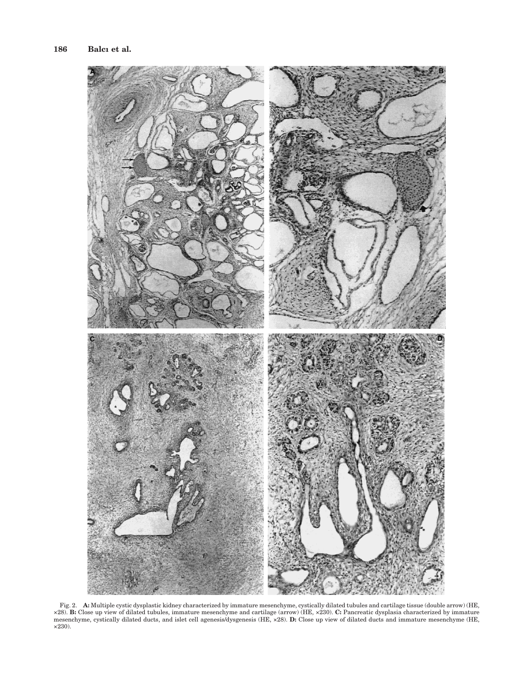

Fig. 2. A: Multiple cystic dysplastic kidney characterized by immature mesenchyme, cystically dilated tubules and cartilage tissue (double arrow) (HE,  $\times$ 28). **B:** Close up view of dilated tubules, immature mesenchyme an